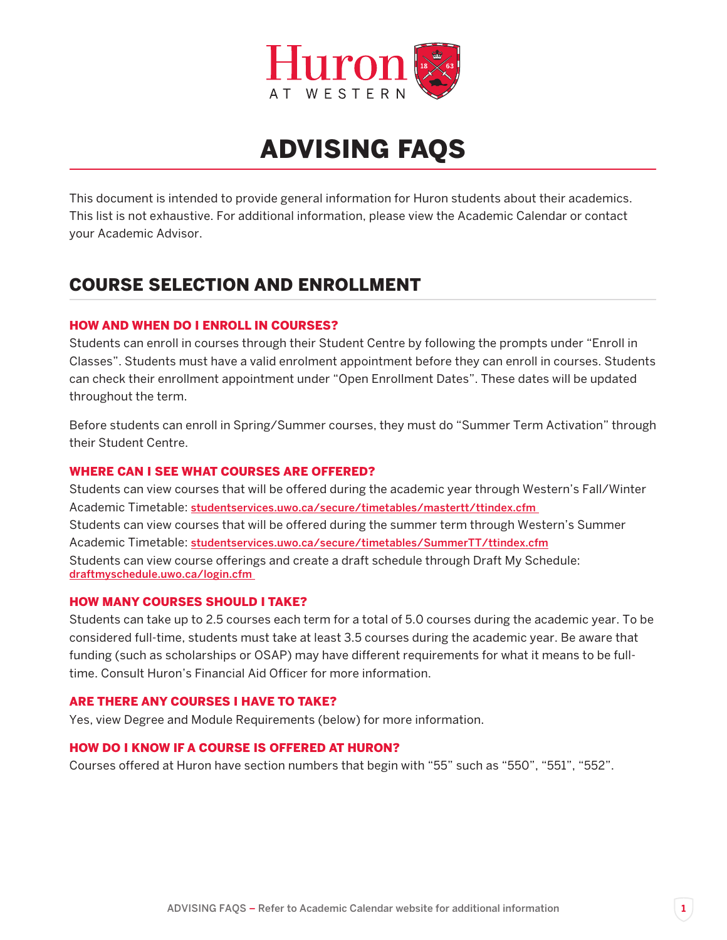

# ADVISING FAQS

This document is intended to provide general information for Huron students about their academics. This list is not exhaustive. For additional information, please view the Academic Calendar or contact your Academic Advisor.

# COURSE SELECTION AND ENROLLMENT

### HOW AND WHEN DO I ENROLL IN COURSES?

Students can enroll in courses through their Student Centre by following the prompts under "Enroll in Classes". Students must have a valid enrolment appointment before they can enroll in courses. Students can check their enrollment appointment under "Open Enrollment Dates". These dates will be updated throughout the term.

Before students can enroll in Spring/Summer courses, they must do "Summer Term Activation" through their Student Centre.

#### WHERE CAN I SEE WHAT COURSES ARE OFFERED?

Students can view courses that will be offered during the academic year through Western's Fall/Winter Academic Timetable: studentservices.uwo.ca/secure/timetables/mastertt/ttindex.cfm Students can view courses that will be offered during the summer term through Western's Summer Academic Timetable: studentservices.uwo.ca/secure/timetables/SummerTT/ttindex.cfm Students can view course offerings and create a draft schedule through Draft My Schedule: draftmyschedule.uwo.ca/login.cfm

#### HOW MANY COURSES SHOULD I TAKE?

Students can take up to 2.5 courses each term for a total of 5.0 courses during the academic year. To be considered full-time, students must take at least 3.5 courses during the academic year. Be aware that funding (such as scholarships or OSAP) may have different requirements for what it means to be fulltime. Consult Huron's Financial Aid Officer for more information.

#### ARE THERE ANY COURSES I HAVE TO TAKE?

Yes, view Degree and Module Requirements (below) for more information.

# HOW DO I KNOW IF A COURSE IS OFFERED AT HURON?

Courses offered at Huron have section numbers that begin with "55" such as "550", "551", "552".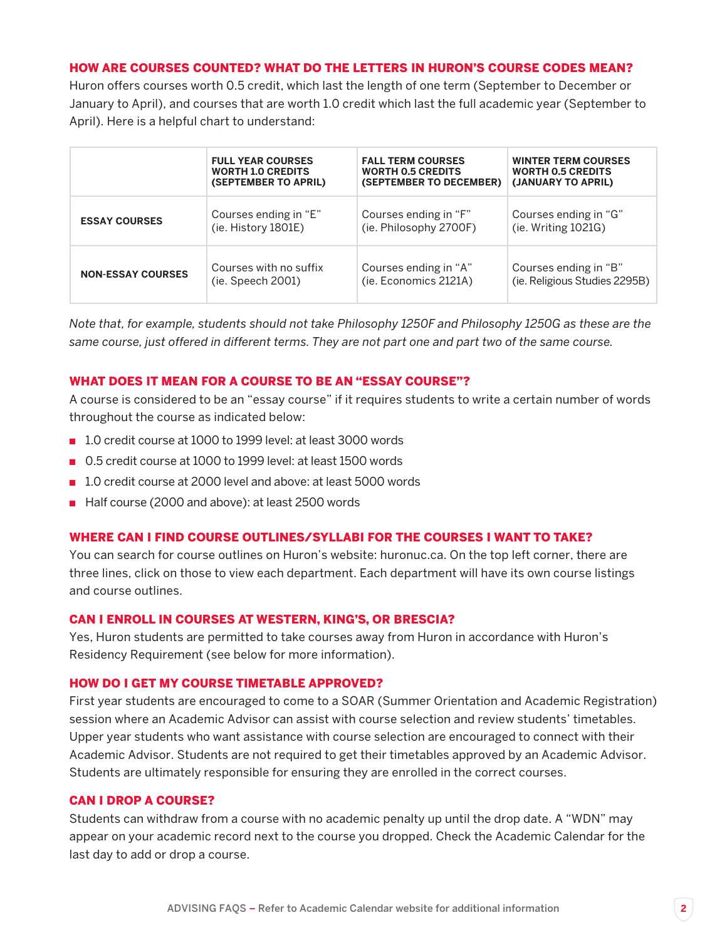#### HOW ARE COURSES COUNTED? WHAT DO THE LETTERS IN HURON'S COURSE CODES MEAN?

Huron offers courses worth 0.5 credit, which last the length of one term (September to December or January to April), and courses that are worth 1.0 credit which last the full academic year (September to April). Here is a helpful chart to understand:

|                          | <b>FULL YEAR COURSES</b> | <b>FALL TERM COURSES</b> | <b>WINTER TERM COURSES</b>    |
|--------------------------|--------------------------|--------------------------|-------------------------------|
|                          | <b>WORTH 1.0 CREDITS</b> | <b>WORTH 0.5 CREDITS</b> | <b>WORTH 0.5 CREDITS</b>      |
|                          | (SEPTEMBER TO APRIL)     | (SEPTEMBER TO DECEMBER)  | (JANUARY TO APRIL)            |
| <b>ESSAY COURSES</b>     | Courses ending in "E"    | Courses ending in "F"    | Courses ending in "G"         |
|                          | (ie. History 1801E)      | (ie. Philosophy 2700F)   | (ie. Writing 1021G)           |
| <b>NON-ESSAY COURSES</b> | Courses with no suffix   | Courses ending in "A"    | Courses ending in "B"         |
|                          | (ie. Speech 2001)        | (ie. Economics 2121A)    | (ie. Religious Studies 2295B) |

*Note that, for example, students should not take Philosophy 1250F and Philosophy 1250G as these are the same course, just offered in different terms. They are not part one and part two of the same course.* 

#### WHAT DOES IT MEAN FOR A COURSE TO BE AN "ESSAY COURSE"?

A course is considered to be an "essay course" if it requires students to write a certain number of words throughout the course as indicated below:

- 1.0 credit course at 1000 to 1999 level: at least 3000 words
- 0.5 credit course at 1000 to 1999 level: at least 1500 words
- 1.0 credit course at 2000 level and above: at least 5000 words
- Half course (2000 and above): at least 2500 words

#### WHERE CAN I FIND COURSE OUTLINES/SYLLABI FOR THE COURSES I WANT TO TAKE?

You can search for course outlines on Huron's website: huronuc.ca. On the top left corner, there are three lines, click on those to view each department. Each department will have its own course listings and course outlines.

#### CAN I ENROLL IN COURSES AT WESTERN, KING'S, OR BRESCIA?

Yes, Huron students are permitted to take courses away from Huron in accordance with Huron's Residency Requirement (see below for more information).

#### HOW DO I GET MY COURSE TIMETABLE APPROVED?

First year students are encouraged to come to a SOAR (Summer Orientation and Academic Registration) session where an Academic Advisor can assist with course selection and review students' timetables. Upper year students who want assistance with course selection are encouraged to connect with their Academic Advisor. Students are not required to get their timetables approved by an Academic Advisor. Students are ultimately responsible for ensuring they are enrolled in the correct courses.

#### CAN I DROP A COURSE?

Students can withdraw from a course with no academic penalty up until the drop date. A "WDN" may appear on your academic record next to the course you dropped. Check the Academic Calendar for the last day to add or drop a course.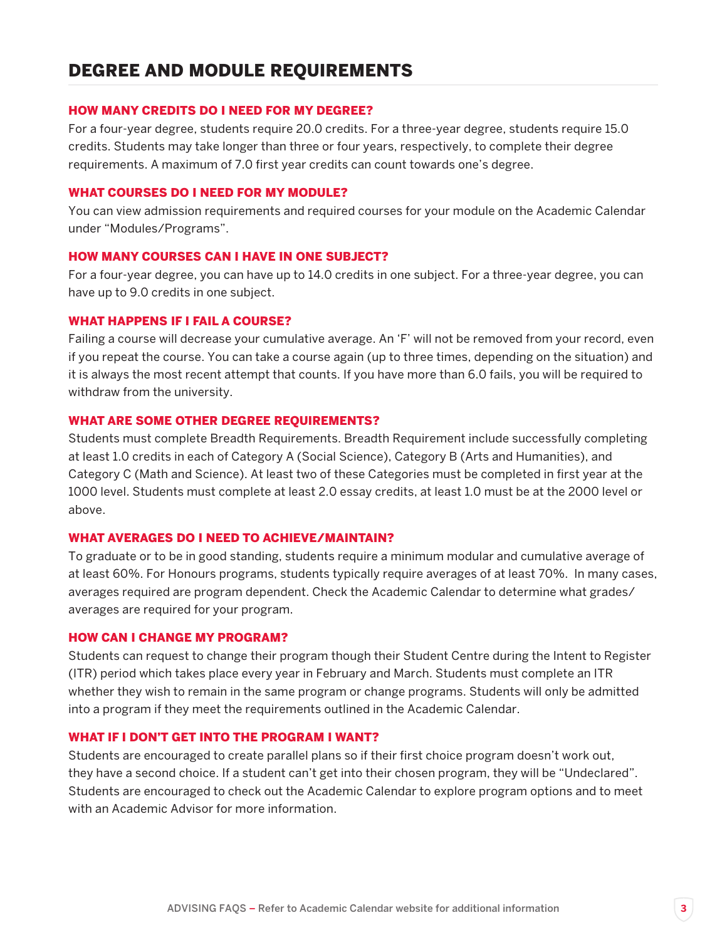#### HOW MANY CREDITS DO I NEED FOR MY DEGREE?

For a four-year degree, students require 20.0 credits. For a three-year degree, students require 15.0 credits. Students may take longer than three or four years, respectively, to complete their degree requirements. A maximum of 7.0 first year credits can count towards one's degree.

#### WHAT COURSES DO I NEED FOR MY MODULE?

You can view admission requirements and required courses for your module on the Academic Calendar under "Modules/Programs".

#### HOW MANY COURSES CAN I HAVE IN ONE SUBJECT?

For a four-year degree, you can have up to 14.0 credits in one subject. For a three-year degree, you can have up to 9.0 credits in one subject.

#### WHAT HAPPENS IF I FAIL A COURSE?

Failing a course will decrease your cumulative average. An 'F' will not be removed from your record, even if you repeat the course. You can take a course again (up to three times, depending on the situation) and it is always the most recent attempt that counts. If you have more than 6.0 fails, you will be required to withdraw from the university.

#### WHAT ARE SOME OTHER DEGREE REQUIREMENTS?

Students must complete Breadth Requirements. Breadth Requirement include successfully completing at least 1.0 credits in each of Category A (Social Science), Category B (Arts and Humanities), and Category C (Math and Science). At least two of these Categories must be completed in first year at the 1000 level. Students must complete at least 2.0 essay credits, at least 1.0 must be at the 2000 level or above.

#### WHAT AVERAGES DO I NEED TO ACHIEVE/MAINTAIN?

To graduate or to be in good standing, students require a minimum modular and cumulative average of at least 60%. For Honours programs, students typically require averages of at least 70%. In many cases, averages required are program dependent. Check the Academic Calendar to determine what grades/ averages are required for your program.

#### HOW CAN I CHANGE MY PROGRAM?

Students can request to change their program though their Student Centre during the Intent to Register (ITR) period which takes place every year in February and March. Students must complete an ITR whether they wish to remain in the same program or change programs. Students will only be admitted into a program if they meet the requirements outlined in the Academic Calendar.

#### WHAT IF I DON'T GET INTO THE PROGRAM I WANT?

Students are encouraged to create parallel plans so if their first choice program doesn't work out, they have a second choice. If a student can't get into their chosen program, they will be "Undeclared". Students are encouraged to check out the Academic Calendar to explore program options and to meet with an Academic Advisor for more information.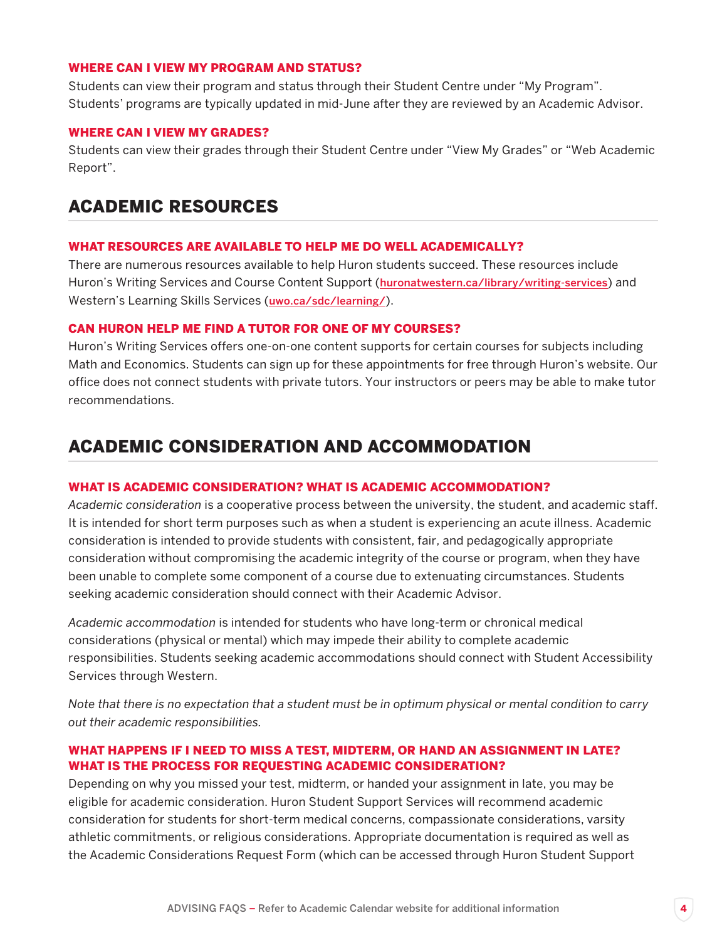#### WHERE CAN I VIEW MY PROGRAM AND STATUS?

Students can view their program and status through their Student Centre under "My Program". Students' programs are typically updated in mid-June after they are reviewed by an Academic Advisor.

#### WHERE CAN I VIEW MY GRADES?

Students can view their grades through their Student Centre under "View My Grades" or "Web Academic Report".

# ACADEMIC RESOURCES

#### WHAT RESOURCES ARE AVAILABLE TO HELP ME DO WELL ACADEMICALLY?

There are numerous resources available to help Huron students succeed. These resources include Huron's Writing Services and Course Content Support (huronatwestern.ca/library/writing-services) and Western's Learning Skills Services (uwo.ca/sdc/learning/).

#### CAN HURON HELP ME FIND A TUTOR FOR ONE OF MY COURSES?

Huron's Writing Services offers one-on-one content supports for certain courses for subjects including Math and Economics. Students can sign up for these appointments for free through Huron's website. Our office does not connect students with private tutors. Your instructors or peers may be able to make tutor recommendations.

# ACADEMIC CONSIDERATION AND ACCOMMODATION

#### WHAT IS ACADEMIC CONSIDERATION? WHAT IS ACADEMIC ACCOMMODATION?

*Academic consideration* is a cooperative process between the university, the student, and academic staff. It is intended for short term purposes such as when a student is experiencing an acute illness. Academic consideration is intended to provide students with consistent, fair, and pedagogically appropriate consideration without compromising the academic integrity of the course or program, when they have been unable to complete some component of a course due to extenuating circumstances. Students seeking academic consideration should connect with their Academic Advisor.

*Academic accommodation* is intended for students who have long-term or chronical medical considerations (physical or mental) which may impede their ability to complete academic responsibilities. Students seeking academic accommodations should connect with Student Accessibility Services through Western.

*Note that there is no expectation that a student must be in optimum physical or mental condition to carry out their academic responsibilities.*

#### WHAT HAPPENS IF I NEED TO MISS A TEST, MIDTERM, OR HAND AN ASSIGNMENT IN LATE? WHAT IS THE PROCESS FOR REQUESTING ACADEMIC CONSIDERATION?

Depending on why you missed your test, midterm, or handed your assignment in late, you may be eligible for academic consideration. Huron Student Support Services will recommend academic consideration for students for short-term medical concerns, compassionate considerations, varsity athletic commitments, or religious considerations. Appropriate documentation is required as well as the Academic Considerations Request Form (which can be accessed through Huron Student Support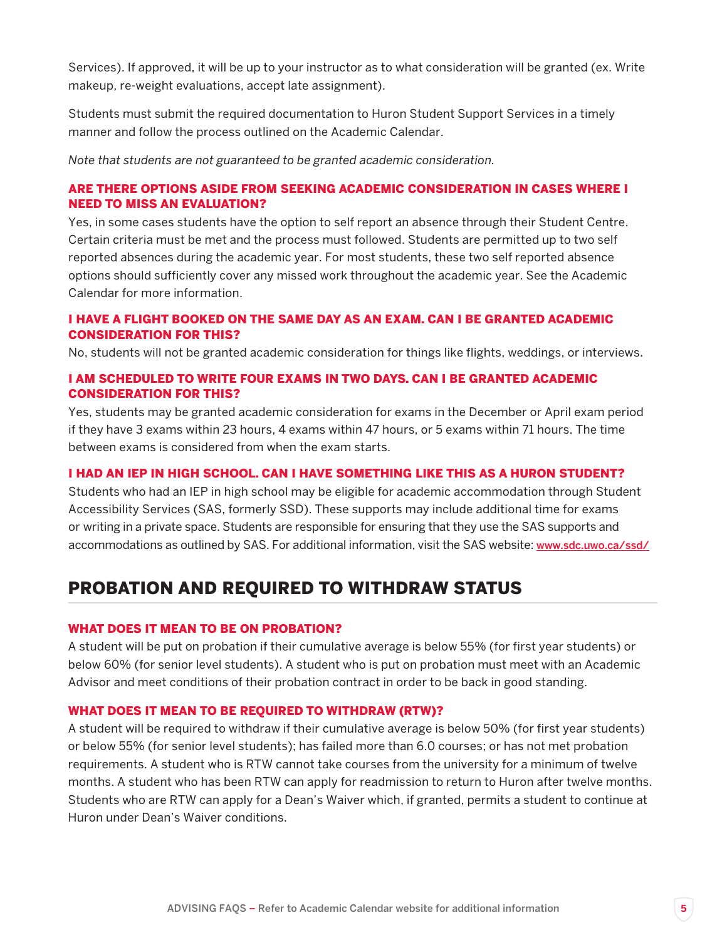Services). If approved, it will be up to your instructor as to what consideration will be granted (ex. Write makeup, re-weight evaluations, accept late assignment).

Students must submit the required documentation to Huron Student Support Services in a timely manner and follow the process outlined on the Academic Calendar.

*Note that students are not guaranteed to be granted academic consideration.*

### ARE THERE OPTIONS ASIDE FROM SEEKING ACADEMIC CONSIDERATION IN CASES WHERE I NEED TO MISS AN EVALUATION?

Yes, in some cases students have the option to self report an absence through their Student Centre. Certain criteria must be met and the process must followed. Students are permitted up to two self reported absences during the academic year. For most students, these two self reported absence options should sufficiently cover any missed work throughout the academic year. See the Academic Calendar for more information.

### I HAVE A FLIGHT BOOKED ON THE SAME DAY AS AN EXAM. CAN I BE GRANTED ACADEMIC CONSIDERATION FOR THIS?

No, students will not be granted academic consideration for things like flights, weddings, or interviews.

# I AM SCHEDULED TO WRITE FOUR EXAMS IN TWO DAYS. CAN I BE GRANTED ACADEMIC CONSIDERATION FOR THIS?

Yes, students may be granted academic consideration for exams in the December or April exam period if they have 3 exams within 23 hours, 4 exams within 47 hours, or 5 exams within 71 hours. The time between exams is considered from when the exam starts.

### I HAD AN IEP IN HIGH SCHOOL. CAN I HAVE SOMETHING LIKE THIS AS A HURON STUDENT?

Students who had an IEP in high school may be eligible for academic accommodation through Student Accessibility Services (SAS, formerly SSD). These supports may include additional time for exams or writing in a private space. Students are responsible for ensuring that they use the SAS supports and accommodations as outlined by SAS. For additional information, visit the SAS website: www.sdc.uwo.ca/ssd/

# PROBATION AND REQUIRED TO WITHDRAW STATUS

#### WHAT DOES IT MEAN TO BE ON PROBATION?

A student will be put on probation if their cumulative average is below 55% (for first year students) or below 60% (for senior level students). A student who is put on probation must meet with an Academic Advisor and meet conditions of their probation contract in order to be back in good standing.

#### WHAT DOES IT MEAN TO BE REQUIRED TO WITHDRAW (RTW)?

A student will be required to withdraw if their cumulative average is below 50% (for first year students) or below 55% (for senior level students); has failed more than 6.0 courses; or has not met probation requirements. A student who is RTW cannot take courses from the university for a minimum of twelve months. A student who has been RTW can apply for readmission to return to Huron after twelve months. Students who are RTW can apply for a Dean's Waiver which, if granted, permits a student to continue at Huron under Dean's Waiver conditions.